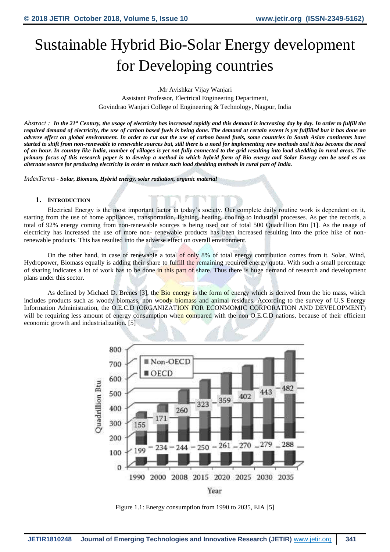# Sustainable Hybrid Bio-Solar Energy development for Developing countries

.Mr Avishkar Vijay Wanjari Assistant Professor, Electrical Engineering Department, Govindrao Wanjari College of Engineering & Technology, Nagpur, India

*Abstract : In the 21st Century, the usage of electricity has increased rapidly and this demand is increasing day by day. In order to fulfill the required demand of electricity, the use of carbon based fuels is being done. The demand at certain extent is yet fulfilled but it has done an adverse effect on global environment. In order to cut out the use of carbon based fuels, some countries in South Asian continents have started to shift from non-renewable to renewable sources but, still there is a need for implementing new methods and it has become the need of an hour. In country like India, number of villages is yet not fully connected to the grid resulting into load shedding in rural areas. The primary focus of this research paper is to develop a method in which hybrid form of Bio energy and Solar Energy can be used as an alternate source for producing electricity in order to reduce such load shedding methods in rural part of India.* 

*IndexTerms* - *Solar, Biomass, Hybrid energy, solar radiation, organic material* 

#### **1. INTRODUCTION**

Electrical Energy is the most important factor in today's society. Our complete daily routine work is dependent on it, starting from the use of home appliances, transportation, lighting, heating, cooling to industrial processes. As per the records, a total of 92% energy coming from non-renewable sources is being used out of total 500 Quadrillion Btu [1]. As the usage of electricity has increased the use of more non- renewable products has been increased resulting into the price hike of nonrenewable products. This has resulted into the adverse effect on overall environment.

On the other hand, in case of renewable a total of only 8% of total energy contribution comes from it. Solar, Wind, Hydropower, Biomass equally is adding their share to fulfill the remaining required energy quota. With such a small percentage of sharing indicates a lot of work has to be done in this part of share. Thus there is huge demand of research and development plans under this sector.

As defined by Michael D. Brenes [3], the **Bio energy is** the form of energy which is derived from the bio mass, which includes products such as woody biomass, non woody biomass and animal residues. According to the survey of U.S Energy Information Administration, the O.E.C.D (ORGANIZATION FOR ECONMOMIC CORPORATION AND DEVELOPMENT) will be requiring less amount of energy consumption when compared with the non O.E.C.D nations, because of their efficient economic growth and industrialization. [5]



Figure 1.1: Energy consumption from 1990 to 2035, EIA [5]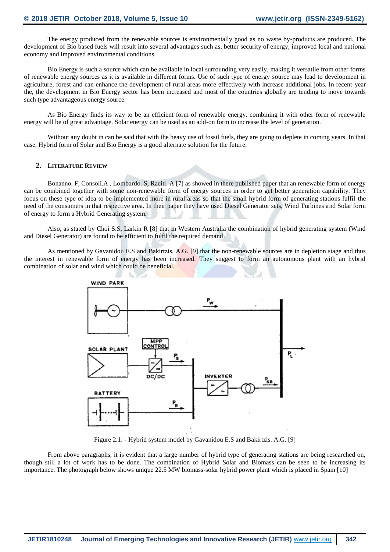The energy produced from the renewable sources is environmentally good as no waste by-products are produced. The development of Bio based fuels will result into several advantages such as, better security of energy, improved local and national economy and improved environmental conditions.

Bio Energy is such a source which can be available in local surrounding very easily, making it versatile from other forms of renewable energy sources as it is available in different forms. Use of such type of energy source may lead to development in agriculture, forest and can enhance the development of rural areas more effectively with increase additional jobs. In recent year the, the development in Bio Energy sector has been increased and most of the countries globally are tending to move towards such type advantageous energy source.

As Bio Energy finds its way to be an efficient form of renewable energy, combining it with other form of renewable energy will be of great advantage. Solar energy can be used as an add-on form to increase the level of generation.

Without any doubt in can be said that with the heavy use of fossil fuels, they are going to deplete in coming years. In that case, Hybrid form of Solar and Bio Energy is a good alternate solution for the future.

#### **2. LITERATURE REVIEW**

Bonanno. F, Consoli.A , Lombardo. S, Raciti. A [7] as showed in there published paper that an renewable form of energy can be combined together with some non-renewable form of energy sources in order to get better generation capability. They focus on these type of idea to be implemented more in rural areas so that the small hybrid form of generating stations fulfil the need of the consumers in that respective area. In their paper they have used Diesel Generator sets, Wind Turbines and Solar form of energy to form a Hybrid Generating system.

Also, as stated by Choi S.S, Larkin R [8] that in Western Australia the combination of hybrid generating system (Wind and Diesel Generator) are found to be efficient to fulfil the required demand.

As mentioned by Gavanidou E.S and Bakirtzis. A.G. [9] that the non-renewable sources are in depletion stage and thus the interest in renewable form of energy has been increased. They suggest to form an autonomous plant with an hybrid combination of solar and wind which could be beneficial.



Figure 2.1: - Hybrid system model by Gavanidou E.S and Bakirtzis. A.G. [9]

From above paragraphs, it is evident that a large number of hybrid type of generating stations are being researched on, though still a lot of work has to be done. The combination of Hybrid Solar and Biomass can be seen to be increasing its importance. The photograph below shows unique 22.5 MW biomass-solar hybrid power plant which is placed in Spain [10]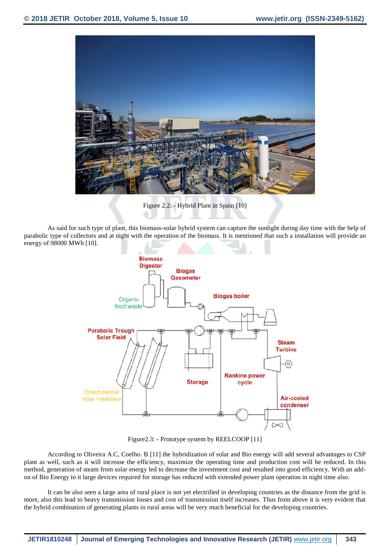

Figure 2.2: - Hybrid Plant in Spain [10]

As said for such type of plant, this biomass-solar hybrid system can capture the sunlight during day time with the help of parabolic type of collectors and at night with the operation of the biomass. It is mentioned that such a installation will provide an energy of 98000 MWh [10].



Figure2.3: - Prototype system by REELCOOP [11]

According to Oliveira A.C, Coelho. B [11] the hybridization of solar and Bio energy will add several advantages to CSP plant as well, such as it will increase the efficiency, maximize the operating time and production cost will be reduced. In this method, generation of steam from solar energy led to decrease the investment cost and resulted into good efficiency. With an addon of Bio Energy to it large devices required for storage has reduced with extended power plant operation in night time also.

It can be also seen a large area of rural place is not yet electrified in developing countries as the distance from the grid is more, also this lead to heavy transmission losses and cost of transmission itself increases. Thus from above it is very evident that the hybrid combination of generating plants in rural areas will be very much beneficial for the developing countries.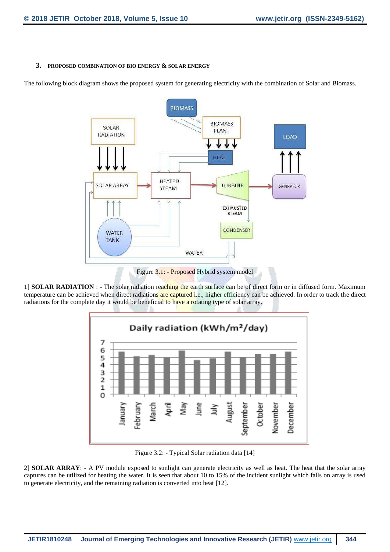### **3. PROPOSED COMBINATION OF BIO ENERGY & SOLAR ENERGY**

The following block diagram shows the proposed system for generating electricity with the combination of Solar and Biomass.



Figure 3.1: - Proposed Hybrid system model

1] **SOLAR RADIATION** : - The solar radiation reaching the earth surface can be of direct form or in diffused form. Maximum temperature can be achieved when direct radiations are captured i.e., higher efficiency can be achieved. In order to track the direct radiations for the complete day it would be beneficial to have a rotating type of solar array.



Figure 3.2: - Typical Solar radiation data [14]

2] **SOLAR ARRAY**: - A PV module exposed to sunlight can generate electricity as well as heat. The heat that the solar array captures can be utilized for heating the water. It is seen that about 10 to 15% of the incident sunlight which falls on array is used to generate electricity, and the remaining radiation is converted into heat [12].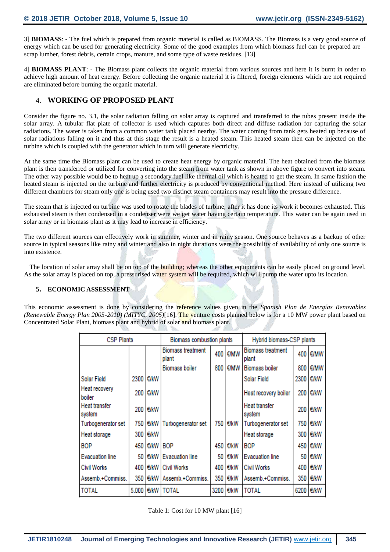3] **BIOMASS**: - The fuel which is prepared from organic material is called as BIOMASS. The Biomass is a very good source of energy which can be used for generating electricity. Some of the good examples from which biomass fuel can be prepared are – scrap lumber, forest debris, certain crops, manure, and some type of waste residues. [13]

4] **BIOMASS PLANT**: - The Biomass plant collects the organic material from various sources and here it is burnt in order to achieve high amount of heat energy. Before collecting the organic material it is filtered, foreign elements which are not required are eliminated before burning the organic material.

## 4. **WORKING OF PROPOSED PLANT**

Consider the figure no. 3.1, the solar radiation falling on solar array is captured and transferred to the tubes present inside the solar array. A tubular flat plate of collector is used which captures both direct and diffuse radiation for capturing the solar radiations. The water is taken from a common water tank placed nearby. The water coming from tank gets heated up because of solar radiations falling on it and thus at this stage the result is a heated steam. This heated steam then can be injected on the turbine which is coupled with the generator which in turn will generate electricity.

At the same time the Biomass plant can be used to create heat energy by organic material. The heat obtained from the biomass plant is then transferred or utilized for converting into the steam from water tank as shown in above figure to convert into steam. The other way possible would be to heat up a secondary fuel like thermal oil which is heated to get the steam. In same fashion the heated steam is injected on the turbine and further electricity is produced by conventional method. Here instead of utilizing two different chambers for steam only one is being used two distinct steam containers may result into the pressure difference.

The steam that is injected on turbine was used to rotate the blades of turbine; after it has done its work it becomes exhausted. This exhausted steam is then condensed in a condenser were we get water having certain temperature. This water can be again used in solar array or in biomass plant as it may lead to increase in efficiency.

The two different sources can effectively work in summer, winter and in rainy season. One source behaves as a backup of other source in typical seasons like rainy and winter and also in night durations were the possibility of availability of only one source is into existence.

The location of solar array shall be on top of the building; whereas the other equipments can be easily placed on ground level. As the solar array is placed on top, a pressurised water system will be required, which will pump the water upto its location.

## **5. ECONOMIC ASSESSMENT**

This economic assessment is done by considering the reference values given in the *Spanish Plan de Energías Renovables (Renewable Energy Plan 2005-2010) (MITYC, 2005)*[16]. The venture costs planned below is for a 10 MW power plant based on Concentrated Solar Plant, biomass plant and hybrid of solar and biomass plant.

| <b>CSP Plants</b>       |                  |      | Biomass combustion plants         |       |          | Hybrid biomass-CSP plants         |       |          |
|-------------------------|------------------|------|-----------------------------------|-------|----------|-----------------------------------|-------|----------|
|                         |                  |      | <b>Biomass treatment</b><br>plant |       | 400 E/MW | <b>Biomass treatment</b><br>plant |       | 400 E/MW |
|                         |                  |      | <b>Biomass boiler</b>             | 800   | €/MW     | <b>Biomass boiler</b>             | 800   | €/MW     |
| <b>Solar Field</b>      | 2300             | €/kW |                                   |       |          | Solar Field                       | 2300  | €/kW     |
| Heat recovery<br>boiler | 200 <sub>1</sub> | €/kW |                                   |       |          | Heat recovery boiler              |       | 200 E/kW |
| Heat transfer<br>system | 200 l            | €/kW |                                   |       |          | Heat transfer<br>system           | 200   | €/kW     |
| Turbogenerator set      | 750              | €/kW | Turbogenerator set                |       | 750 €/kW | Turbogenerator set                | 750 I | €/kW     |
| Heat storage            | 300 l            | €/kW |                                   |       |          | Heat storage                      | 300 I | €/kW     |
| <b>BOP</b>              | 450              | €/kW | <b>BOP</b>                        |       | 450 E/kW | <b>BOP</b>                        |       | 450 €/kW |
| <b>Evacuation line</b>  | 50.              | €/kW | <b>Evacuation line</b>            | 50.   | €/kW     | <b>Evacuation line</b>            |       | 50 E/kW  |
| <b>Civil Works</b>      | 400              | €/kW | <b>Civil Works</b>                | 400 I | €/kW     | <b>Civil Works</b>                | 400   | €/kW     |
| Assemb.+Commiss.        | 350              | €/kW | Assemb.+Commiss.                  | 350   | €/kW     | Assemb.+Commiss.                  | 350 I | €/kW     |
| <b>TOTAL</b>            | 5.000            | €/kW | <b>TOTAL</b>                      | 3200  | €/kW     | <b>TOTAL</b>                      | 6200  | €/kW     |

Table 1: Cost for 10 MW plant [16]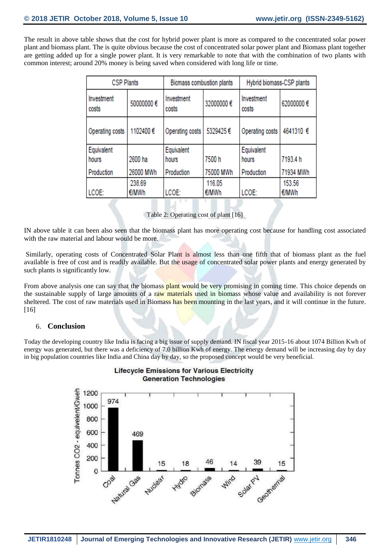The result in above table shows that the cost for hybrid power plant is more as compared to the concentrated solar power plant and biomass plant. The is quite obvious because the cost of concentrated solar power plant and Biomass plant together are getting added up for a single power plant. It is very remarkable to note that with the combination of two plants with common interest; around 20% money is being saved when considered with long life or time.

| <b>CSP Plants</b>   |           | Biomass combustion plants |           | Hybrid biomass-CSP plants |           |  |
|---------------------|-----------|---------------------------|-----------|---------------------------|-----------|--|
| Investment<br>costs | 50000000€ | Investment<br>costs       | 32000000€ | Investment<br>costs       | 62000000€ |  |
| Operating costs     | 1102400€  | Operating costs           | 5329425€  | Operating costs           | 4641310 € |  |
| Equivalent          |           | Equivalent                |           | Equivalent                |           |  |
| hours               | 2600 ha   | hours                     | 7500h     | hours                     | 7193.4 h  |  |
| Production          | 26000 MWh | Production                | 75000 MWh | Production                | 71934 MWh |  |
|                     | 238.69    |                           | 116.05    |                           | 153.56    |  |
| LCOE:               | €/MWh     | LCOE:                     | €/MWh     | LCOE:                     | €/MWh     |  |

Table 2: Operating cost of plant [16]

IN above table it can been also seen that the biomass plant has more operating cost because for handling cost associated with the raw material and labour would be more.

Similarly, operating costs of Concentrated Solar Plant is almost less than one fifth that of biomass plant as the fuel available is free of cost and is readily available. But the usage of concentrated solar power plants and energy generated by such plants is significantly low.

From above analysis one can say that the biomass plant would be very promising in coming time. This choice depends on the sustainable supply of large amounts of a raw materials used in biomass whose value and availability is not forever sheltered. The cost of raw materials used in Biomass has been mounting in the last years, and it will continue in the future. [16]

## 6. **Conclusion**

Today the developing country like India is facing a big issue of supply demand. IN fiscal year 2015-16 about 1074 Billion Kwh of energy was generated, but there was a deficiency of 7.0 billion Kwh of energy. The energy demand will be increasing day by day in big population countries like India and China day by day, so the proposed concept would be very beneficial.



## **Lifecycle Emissions for Various Electricity Generation Technologies**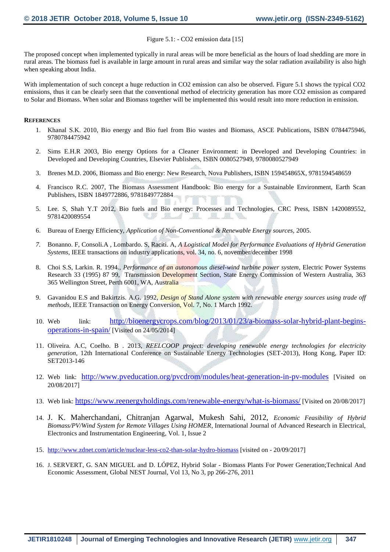#### Figure 5.1: - CO2 emission data [15]

The proposed concept when implemented typically in rural areas will be more beneficial as the hours of load shedding are more in rural areas. The biomass fuel is available in large amount in rural areas and similar way the solar radiation availability is also high when speaking about India.

With implementation of such concept a huge reduction in CO2 emission can also be observed. Figure 5.1 shows the typical CO2 emissions, thus it can be clearly seen that the conventional method of electricity generation has more CO2 emission as compared to Solar and Biomass. When solar and Biomass together will be implemented this would result into more reduction in emission.

#### **REFERENCES**

- 1. Khanal S.K. 2010, Bio energy and Bio fuel from Bio wastes and Biomass, ASCE Publications, ISBN 0784475946, 9780784475942
- 2. Sims E.H.R 2003, Bio energy Options for a Cleaner Environment: in Developed and Developing Countries: in Developed and Developing Countries, Elsevier Publishers, ISBN 0080527949, 9780080527949
- 3. Brenes M.D. 2006, Biomass and Bio energy: New Research, Nova Publishers, ISBN 159454865X, 9781594548659
- 4. Francisco R.C. 2007, The Biomass Assessment Handbook: Bio energy for a Sustainable Environment, Earth Scan Publishers, ISBN 1849772886, 9781849772884
- 5. Lee. S, Shah Y.T 2012, Bio fuels and Bio energy: Processes and Technologies, CRC Press, ISBN 1420089552, 9781420089554 **ALL**
- 6. Bureau of Energy Efficiency, *Application of Non-Conventional & Renewable Energy sources,* 2005.

J.

- *7.* Bonanno. F, Consoli.A , Lombardo. S, Raciti. A, *A Logistical Model for Performance Evaluations of Hybrid Generation Systems*, IEEE transactions on industry applications, vol. 34, no. 6, november/december 1998
- 8. Choi S.S, Larkin. R. 1994., *Performance of an autonomous diesel-wind turbine power system*, Electric Power Systems Research 33 (1995) 87 99, Transmission Development Section, State Energy Commission of Western Australia, 363 365 Wellington Street, Perth 6001, WA, Australia
- 9. Gavanidou E.S and Bakirtzis. A.G. 1992, *Design of Stand Alone system with renewable energy sources using trade off methods*, IEEE Transaction on Energy Conversion, Vol. 7, No. 1 March 1992.
- 10. Web link: [http://bioenergycrops.com/blog/2013/01/23/a-biomass-solar-hybrid-plant-begins](http://bioenergycrops.com/blog/2013/01/23/a-biomass-solar-hybrid-plant-begins-operations-in-spain/)[operations-in-spain/](http://bioenergycrops.com/blog/2013/01/23/a-biomass-solar-hybrid-plant-begins-operations-in-spain/) [Visited on 24/05/2014]
- 11. Oliveira. A.C, Coelho. B . 2013, *REELCOOP project: developing renewable energy technologies for electricity generation*, 12th International Conference on Sustainable Energy Technologies (SET-2013), Hong Kong, Paper ID: SET2013-146
- 12. Web link: <http://www.pveducation.org/pvcdrom/modules/heat-generation-in-pv-modules> [Visited on 20/08/2017]
- 13. Web link: <https://www.reenergyholdings.com/renewable-energy/what-is-biomass/> [Visited on 20/08/2017]
- 14. J. K. Maherchandani, Chitranjan Agarwal, Mukesh Sahi, 2012, *Economic Feasibility of Hybrid Biomass/PV/Wind System for Remote Villages Using HOMER*, International Journal of Advanced Research in Electrical, Electronics and Instrumentation Engineering, Vol. 1, Issue 2
- 15. <http://www.zdnet.com/article/nuclear-less-co2-than-solar-hydro-biomass> [visited on 20/09/2017]
- 16. J. SERVERT, G. SAN MIGUEL and D. LÓPEZ, Hybrid Solar Biomass Plants For Power Generation;Technical And Economic Assessment, Global NEST Journal, Vol 13, No 3, pp 266-276, 2011